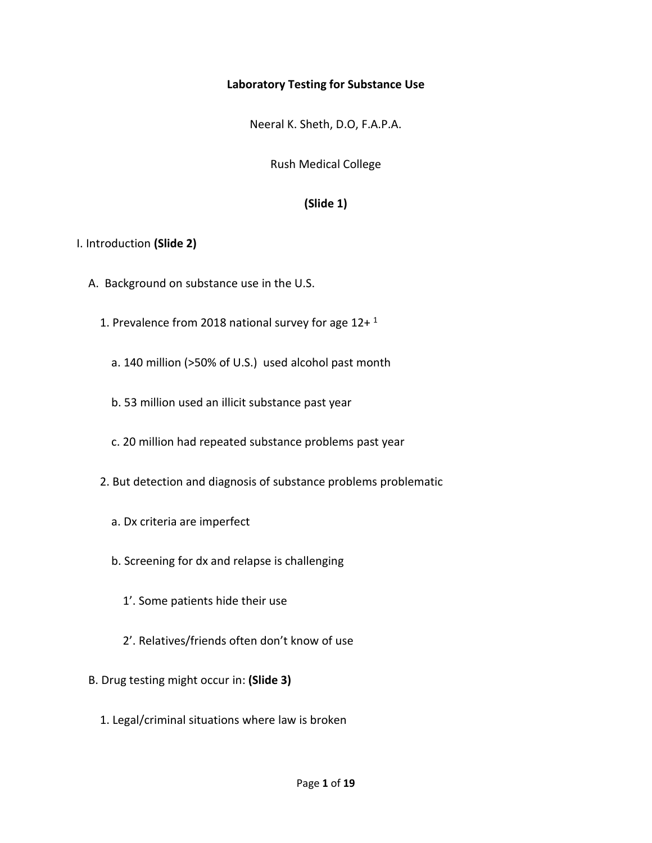### **Laboratory Testing for Substance Use**

Neeral K. Sheth, D.O, F.A.P.A.

Rush Medical College

## **(Slide 1)**

### I. Introduction **(Slide 2)**

- A. Background on substance use in the U.S.
	- 1. Prevalence from 2018 national survey for age  $12+1$ 
		- a. 140 million (>50% of U.S.) used alcohol past month
		- b. 53 million used an illicit substance past year
		- c. 20 million had repeated substance problems past year
	- 2. But detection and diagnosis of substance problems problematic
		- a. Dx criteria are imperfect
		- b. Screening for dx and relapse is challenging
			- 1'. Some patients hide their use
			- 2'. Relatives/friends often don't know of use
- B. Drug testing might occur in: **(Slide 3)**
	- 1. Legal/criminal situations where law is broken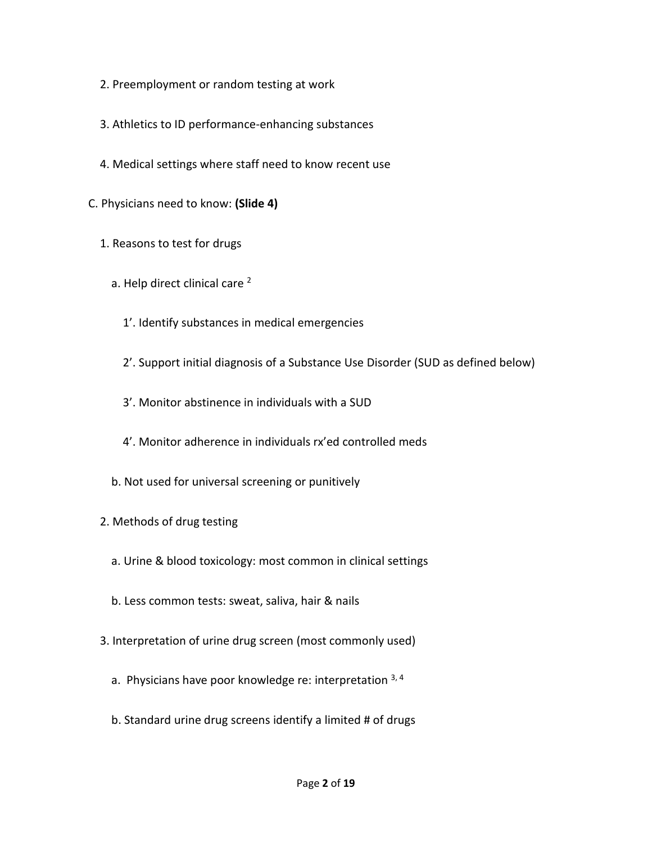- 2. Preemployment or random testing at work
- 3. Athletics to ID performance-enhancing substances
- 4. Medical settings where staff need to know recent use
- C. Physicians need to know: **(Slide 4)**
	- 1. Reasons to test for drugs
		- a. Help direct clinical care<sup>2</sup>
			- 1'. Identify substances in medical emergencies
			- 2'. Support initial diagnosis of a Substance Use Disorder (SUD as defined below)
			- 3'. Monitor abstinence in individuals with a SUD
			- 4'. Monitor adherence in individuals rx'ed controlled meds
		- b. Not used for universal screening or punitively
	- 2. Methods of drug testing
		- a. Urine & blood toxicology: most common in clinical settings
		- b. Less common tests: sweat, saliva, hair & nails
	- 3. Interpretation of urine drug screen (most commonly used)
		- a. Physicians have poor knowledge re: interpretation  $3, 4$
		- b. Standard urine drug screens identify a limited # of drugs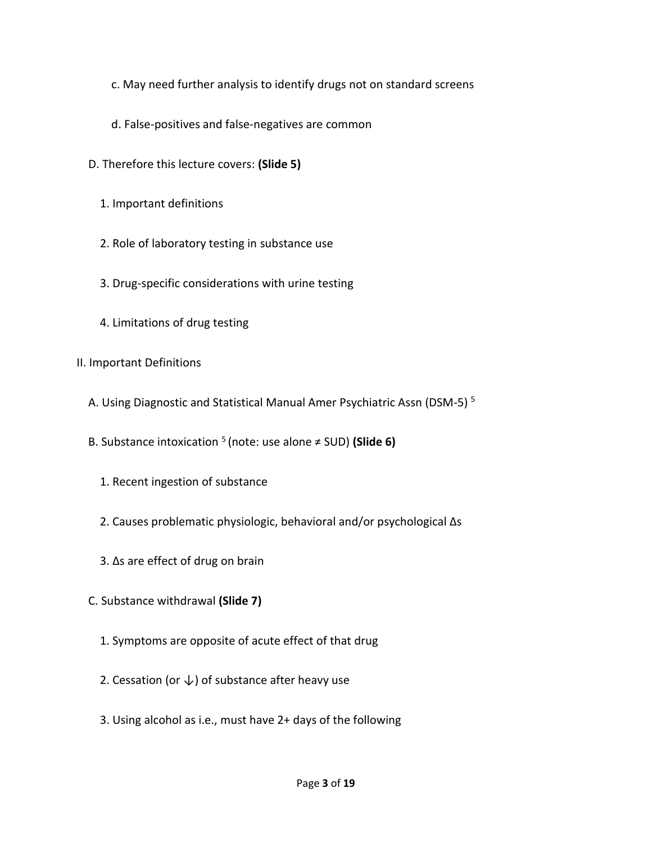- c. May need further analysis to identify drugs not on standard screens
- d. False-positives and false-negatives are common
- D. Therefore this lecture covers: **(Slide 5)**
	- 1. Important definitions
	- 2. Role of laboratory testing in substance use
	- 3. Drug-specific considerations with urine testing
	- 4. Limitations of drug testing
- II. Important Definitions
	- A. Using Diagnostic and Statistical Manual Amer Psychiatric Assn (DSM-5) <sup>5</sup>
- B. Substance intoxication <sup>5</sup> (note: use alone ≠ SUD) **(Slide 6)**
	- 1. Recent ingestion of substance
	- 2. Causes problematic physiologic, behavioral and/or psychological ∆s
	- 3. ∆s are effect of drug on brain
	- C. Substance withdrawal **(Slide 7)**
		- 1. Symptoms are opposite of acute effect of that drug
		- 2. Cessation (or  $\downarrow$ ) of substance after heavy use
		- 3. Using alcohol as i.e., must have 2+ days of the following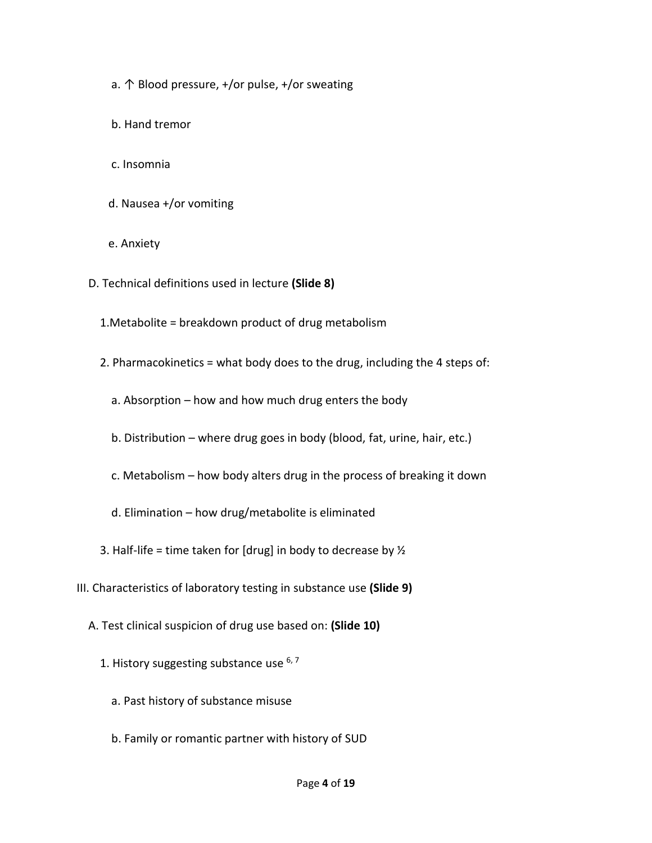- a.  $\uparrow$  Blood pressure, +/or pulse, +/or sweating
- b. Hand tremor
- c. Insomnia
- d. Nausea +/or vomiting
- e. Anxiety
- D. Technical definitions used in lecture **(Slide 8)**
	- 1.Metabolite = breakdown product of drug metabolism
	- 2. Pharmacokinetics = what body does to the drug, including the 4 steps of:
		- a. Absorption how and how much drug enters the body
		- b. Distribution where drug goes in body (blood, fat, urine, hair, etc.)
		- c. Metabolism how body alters drug in the process of breaking it down
		- d. Elimination how drug/metabolite is eliminated
	- 3. Half-life = time taken for [drug] in body to decrease by  $\frac{1}{2}$
- III. Characteristics of laboratory testing in substance use **(Slide 9)**
	- A. Test clinical suspicion of drug use based on: **(Slide 10)**
		- 1. History suggesting substance use  $6,7$ 
			- a. Past history of substance misuse
			- b. Family or romantic partner with history of SUD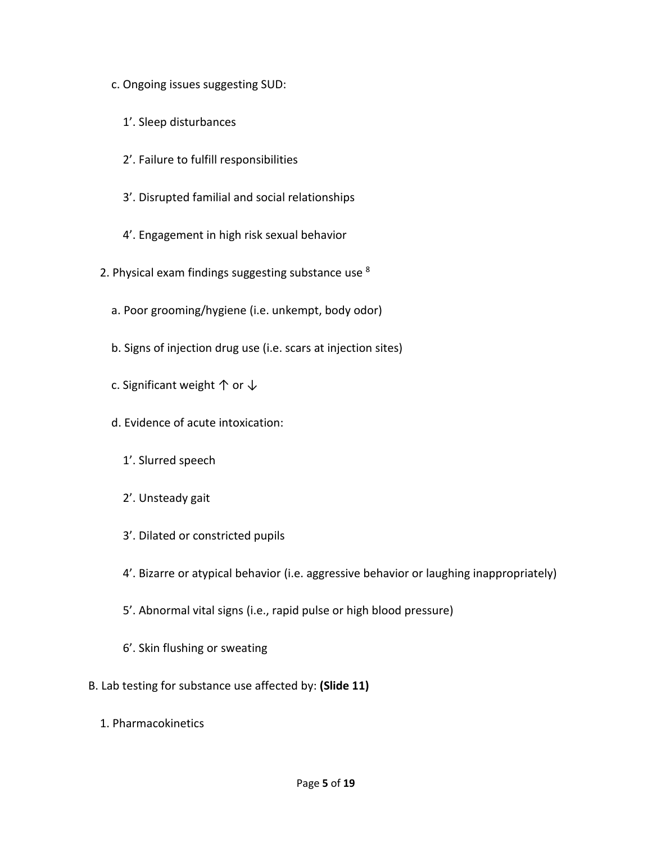- c. Ongoing issues suggesting SUD:
	- 1'. Sleep disturbances
	- 2'. Failure to fulfill responsibilities
	- 3'. Disrupted familial and social relationships
	- 4'. Engagement in high risk sexual behavior
- 2. Physical exam findings suggesting substance use <sup>8</sup>
	- a. Poor grooming/hygiene (i.e. unkempt, body odor)
	- b. Signs of injection drug use (i.e. scars at injection sites)
	- c. Significant weight  $\uparrow$  or  $\downarrow$
	- d. Evidence of acute intoxication:
		- 1'. Slurred speech
		- 2'. Unsteady gait
		- 3'. Dilated or constricted pupils
		- 4'. Bizarre or atypical behavior (i.e. aggressive behavior or laughing inappropriately)
		- 5'. Abnormal vital signs (i.e., rapid pulse or high blood pressure)
		- 6'. Skin flushing or sweating
- B. Lab testing for substance use affected by: **(Slide 11)**
	- 1. Pharmacokinetics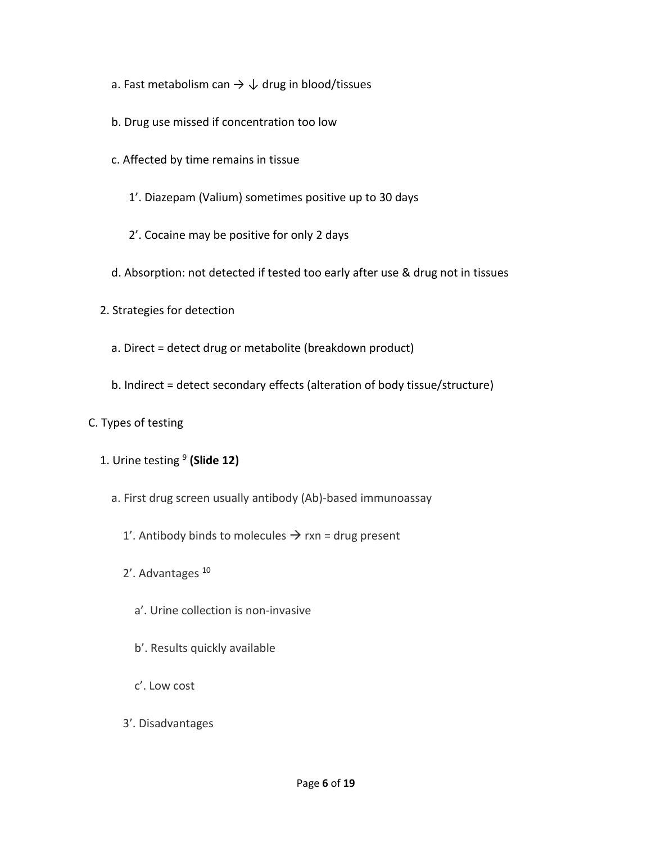- a. Fast metabolism can  $\rightarrow \downarrow$  drug in blood/tissues
- b. Drug use missed if concentration too low
- c. Affected by time remains in tissue
	- 1'. Diazepam (Valium) sometimes positive up to 30 days
	- 2'. Cocaine may be positive for only 2 days
- d. Absorption: not detected if tested too early after use & drug not in tissues
- 2. Strategies for detection
	- a. Direct = detect drug or metabolite (breakdown product)
	- b. Indirect = detect secondary effects (alteration of body tissue/structure)
- C. Types of testing
- 1. Urine testing <sup>9</sup> **(Slide 12)**
	- a. First drug screen usually antibody (Ab)-based immunoassay
		- 1'. Antibody binds to molecules  $\rightarrow$  rxn = drug present
		- 2'. Advantages <sup>10</sup>
			- a'. Urine collection is non-invasive
			- b'. Results quickly available
			- c'. Low cost
		- 3'. Disadvantages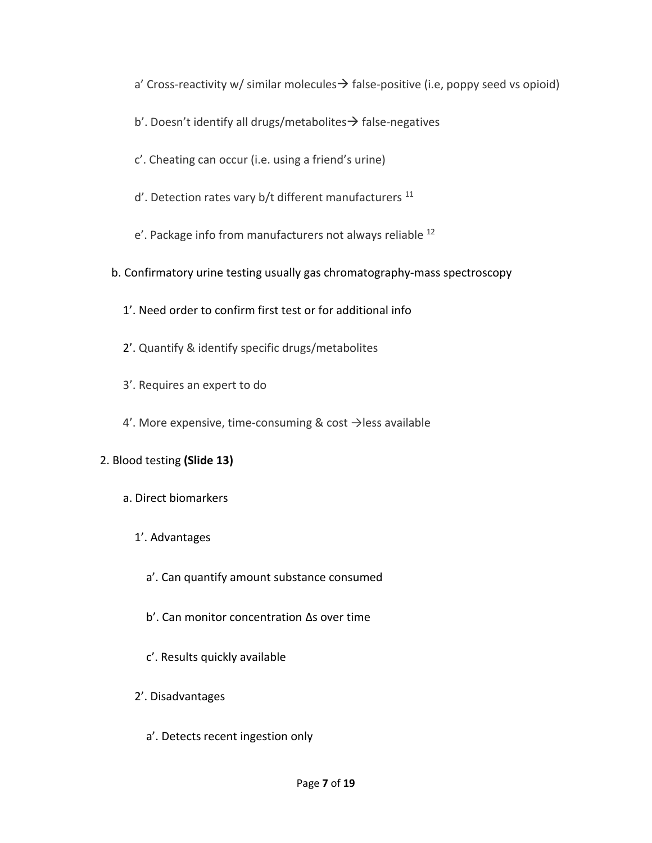a' Cross-reactivity w/ similar molecules $\rightarrow$  false-positive (i.e, poppy seed vs opioid)

- b'. Doesn't identify all drugs/metabolites → false-negatives
- c'. Cheating can occur (i.e. using a friend's urine)
- $d'$ . Detection rates vary b/t different manufacturers<sup>11</sup>
- e'. Package info from manufacturers not always reliable <sup>12</sup>

## b. Confirmatory urine testing usually gas chromatography-mass spectroscopy

- 1'. Need order to confirm first test or for additional info
- 2'. Quantify & identify specific drugs/metabolites
- 3'. Requires an expert to do
- 4'. More expensive, time-consuming & cost  $\rightarrow$  less available

# 2. Blood testing **(Slide 13)**

- a. Direct biomarkers
	- 1'. Advantages
		- a'. Can quantify amount substance consumed
		- b'. Can monitor concentration ∆s over time
		- c'. Results quickly available
	- 2'. Disadvantages
		- a'. Detects recent ingestion only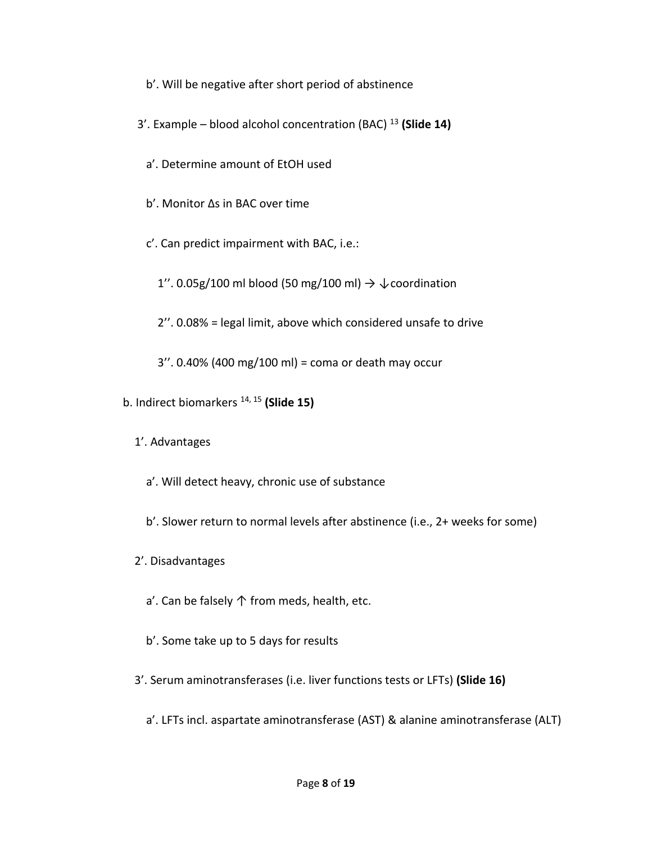- b'. Will be negative after short period of abstinence
- 3'. Example blood alcohol concentration (BAC) <sup>13</sup> **(Slide 14)**
	- a'. Determine amount of EtOH used
	- b'. Monitor ∆s in BAC over time
	- c'. Can predict impairment with BAC, i.e.:
		- 1". 0.05g/100 ml blood (50 mg/100 ml)  $\rightarrow \sqrt{\ }$  coordination
		- 2''. 0.08% = legal limit, above which considered unsafe to drive
		- 3''. 0.40% (400 mg/100 ml) = coma or death may occur
- b. Indirect biomarkers 14, 15 **(Slide 15)**
	- 1'. Advantages
		- a'. Will detect heavy, chronic use of substance
		- b'. Slower return to normal levels after abstinence (i.e., 2+ weeks for some)
	- 2'. Disadvantages
		- a'. Can be falsely ↑ from meds, health, etc.
		- b'. Some take up to 5 days for results
	- 3'. Serum aminotransferases (i.e. liver functions tests or LFTs) **(Slide 16)**
		- a'. LFTs incl. aspartate aminotransferase (AST) & alanine aminotransferase (ALT)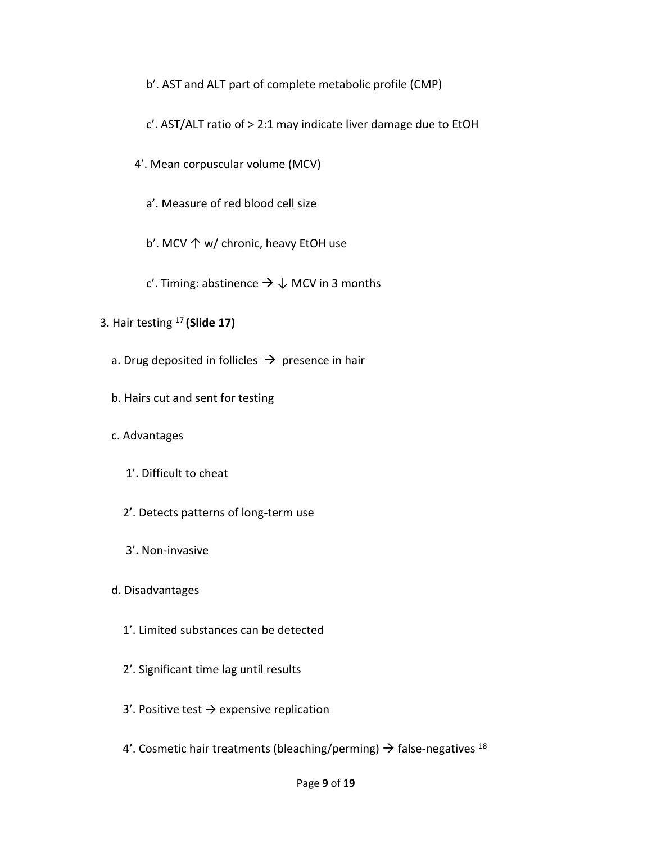b'. AST and ALT part of complete metabolic profile (CMP)

c'. AST/ALT ratio of > 2:1 may indicate liver damage due to EtOH

4'. Mean corpuscular volume (MCV)

a'. Measure of red blood cell size

b'. MCV ↑ w/ chronic, heavy EtOH use

c'. Timing: abstinence  $\rightarrow \downarrow$  MCV in 3 months

- 3. Hair testing <sup>17</sup> **(Slide 17)**
	- a. Drug deposited in follicles  $\rightarrow$  presence in hair
	- b. Hairs cut and sent for testing
	- c. Advantages
		- 1'. Difficult to cheat
		- 2'. Detects patterns of long-term use
		- 3'. Non-invasive
	- d. Disadvantages
		- 1'. Limited substances can be detected
		- 2'. Significant time lag until results
		- 3'. Positive test  $\rightarrow$  expensive replication
		- 4'. Cosmetic hair treatments (bleaching/perming)  $\rightarrow$  false-negatives <sup>18</sup>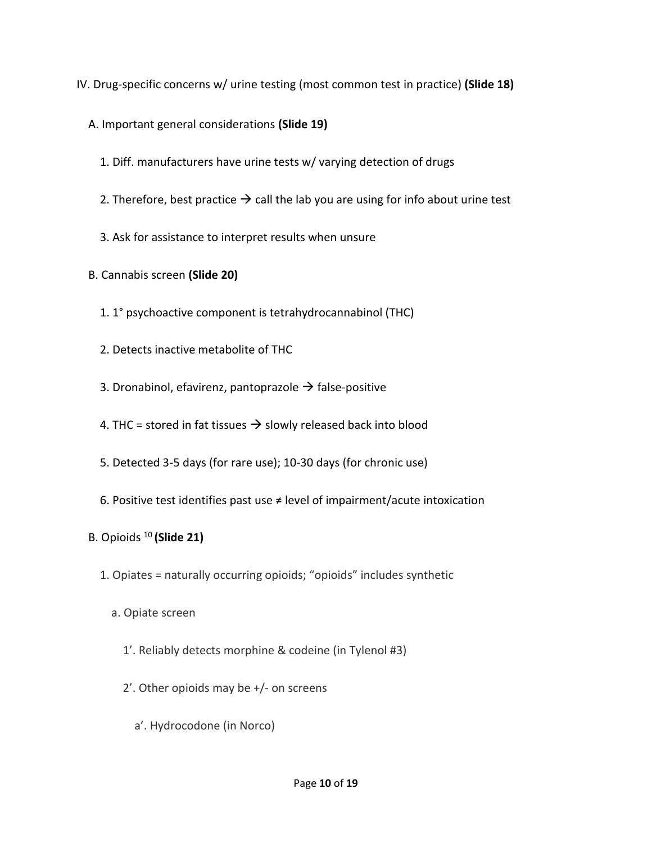IV. Drug-specific concerns w/ urine testing (most common test in practice) **(Slide 18)**

- A. Important general considerations **(Slide 19)**
	- 1. Diff. manufacturers have urine tests w/ varying detection of drugs
	- 2. Therefore, best practice  $\rightarrow$  call the lab you are using for info about urine test
	- 3. Ask for assistance to interpret results when unsure
- B. Cannabis screen **(Slide 20)**
	- 1. 1° psychoactive component is tetrahydrocannabinol (THC)
	- 2. Detects inactive metabolite of THC
	- 3. Dronabinol, efavirenz, pantoprazole  $\rightarrow$  false-positive
	- 4. THC = stored in fat tissues  $\rightarrow$  slowly released back into blood
	- 5. Detected 3-5 days (for rare use); 10-30 days (for chronic use)
	- 6. Positive test identifies past use  $\neq$  level of impairment/acute intoxication
- B. Opioids <sup>10</sup> **(Slide 21)**
	- 1. Opiates = naturally occurring opioids; "opioids" includes synthetic
		- a. Opiate screen
			- 1'. Reliably detects morphine & codeine (in Tylenol #3)
			- 2'. Other opioids may be +/- on screens
				- a'. Hydrocodone (in Norco)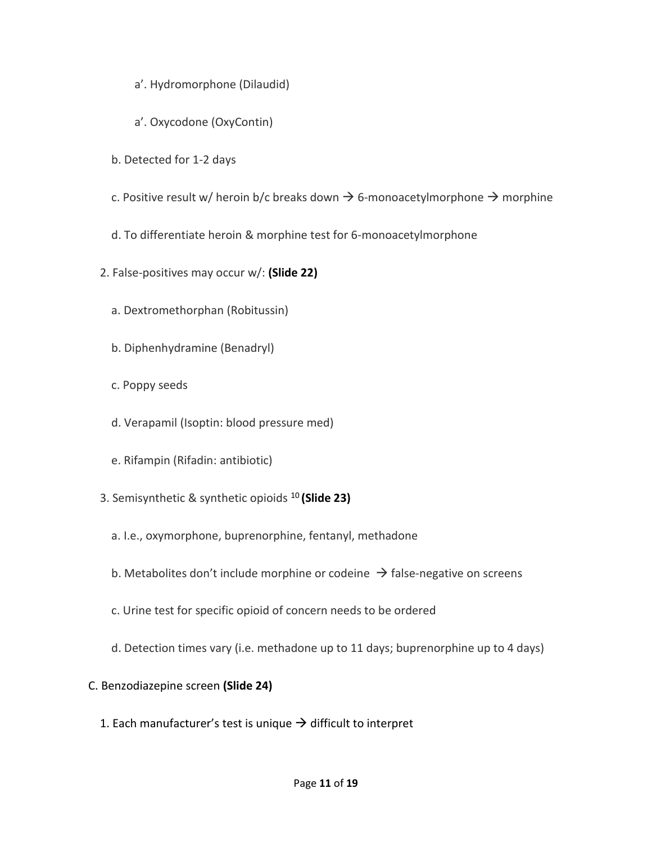- a'. Hydromorphone (Dilaudid)
- a'. Oxycodone (OxyContin)
- b. Detected for 1-2 days
- c. Positive result w/ heroin b/c breaks down  $\rightarrow$  6-monoacetylmorphone  $\rightarrow$  morphine
- d. To differentiate heroin & morphine test for 6-monoacetylmorphone
- 2. False-positives may occur w/: **(Slide 22)**
	- a. Dextromethorphan (Robitussin)
	- b. Diphenhydramine (Benadryl)
	- c. Poppy seeds
	- d. Verapamil (Isoptin: blood pressure med)
	- e. Rifampin (Rifadin: antibiotic)
- 3. Semisynthetic & synthetic opioids <sup>10</sup> **(Slide 23)**
	- a. I.e., oxymorphone, buprenorphine, fentanyl, methadone
	- b. Metabolites don't include morphine or codeine  $\rightarrow$  false-negative on screens
	- c. Urine test for specific opioid of concern needs to be ordered
	- d. Detection times vary (i.e. methadone up to 11 days; buprenorphine up to 4 days)
- C. Benzodiazepine screen **(Slide 24)**
	- 1. Each manufacturer's test is unique  $\rightarrow$  difficult to interpret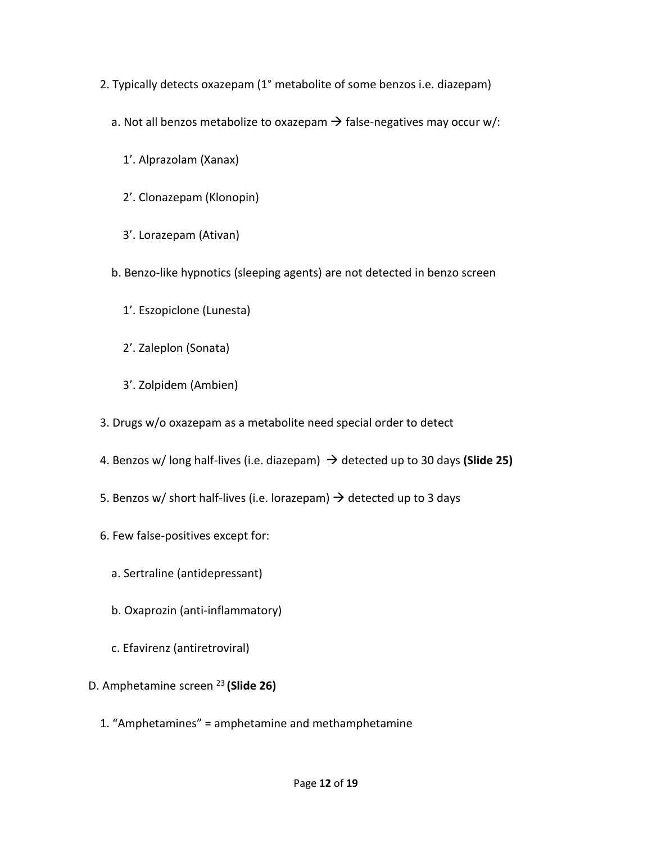- 2. Typically detects oxazepam (1° metabolite of some benzos i.e. diazepam)
	- a. Not all benzos metabolize to oxazepam  $\rightarrow$  false-negatives may occur w/:
		- 1'. Alprazolam (Xanax)
		- 2'. Clonazepam (Klonopin)
		- 3'. Lorazepam (Ativan)
	- b. Benzo-like hypnotics (sleeping agents) are not detected in benzo screen
		- 1'. Eszopiclone (Lunesta)
		- 2'. Zaleplon (Sonata)
		- 3'. Zolpidem (Ambien)
- 3. Drugs w/o oxazepam as a metabolite need special order to detect
- 4. Benzos w/ long half-lives (i.e. diazepam) → detected up to 30 days **(Slide 25)**
- 5. Benzos w/ short half-lives (i.e. lorazepam)  $\rightarrow$  detected up to 3 days
- 6. Few false-positives except for:
	- a. Sertraline (antidepressant)
	- b. Oxaprozin (anti-inflammatory)
	- c. Efavirenz (antiretroviral)
- D. Amphetamine screen <sup>23</sup> **(Slide 26)**
	- 1. "Amphetamines" = amphetamine and methamphetamine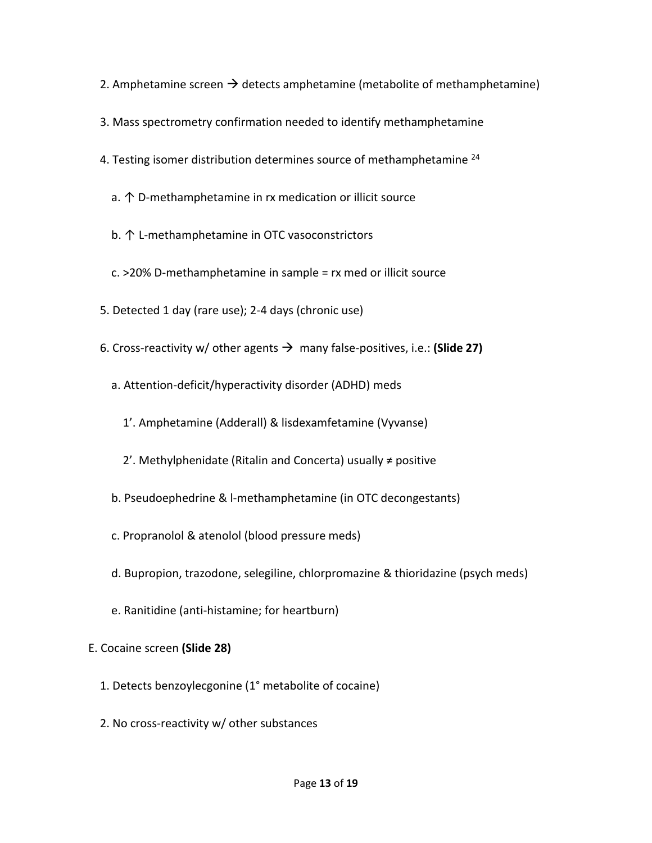- 2. Amphetamine screen  $\rightarrow$  detects amphetamine (metabolite of methamphetamine)
- 3. Mass spectrometry confirmation needed to identify methamphetamine
- 4. Testing isomer distribution determines source of methamphetamine  $^{24}$ 
	- a. ↑ D-methamphetamine in rx medication or illicit source
	- b. ↑ L-methamphetamine in OTC vasoconstrictors
	- c. >20% D-methamphetamine in sample = rx med or illicit source
- 5. Detected 1 day (rare use); 2-4 days (chronic use)
- 6. Cross-reactivity w/ other agents → many false-positives, i.e.: **(Slide 27)**
	- a. Attention-deficit/hyperactivity disorder (ADHD) meds
		- 1'. Amphetamine (Adderall) & lisdexamfetamine (Vyvanse)
		- 2'. Methylphenidate (Ritalin and Concerta) usually ≠ positive
	- b. Pseudoephedrine & l-methamphetamine (in OTC decongestants)
	- c. Propranolol & atenolol (blood pressure meds)
	- d. Bupropion, trazodone, selegiline, chlorpromazine & thioridazine (psych meds)
	- e. Ranitidine (anti-histamine; for heartburn)

## E. Cocaine screen **(Slide 28)**

- 1. Detects benzoylecgonine (1° metabolite of cocaine)
- 2. No cross-reactivity w/ other substances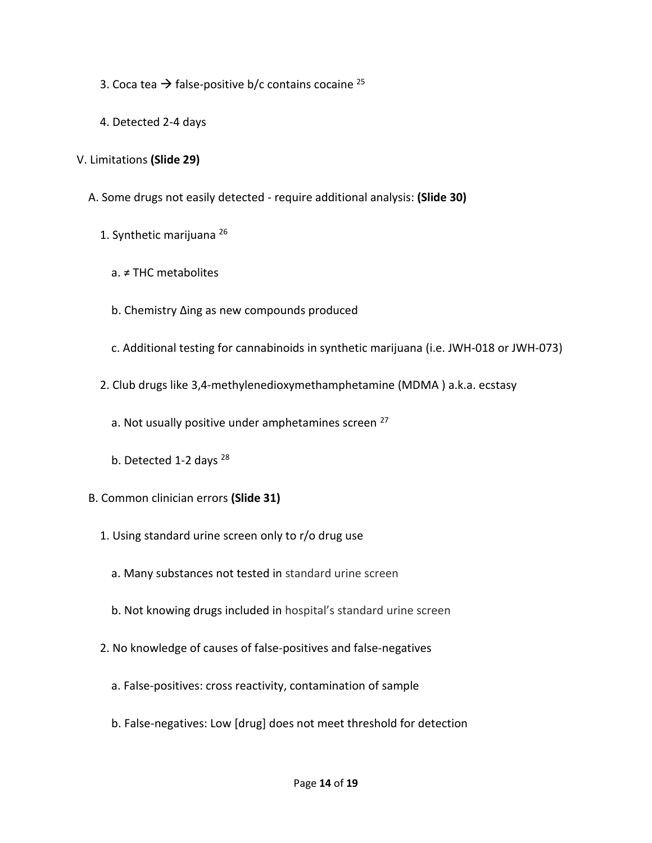- 3. Coca tea  $\rightarrow$  false-positive b/c contains cocaine <sup>25</sup>
- 4. Detected 2-4 days

# V. Limitations **(Slide 29)**

- A. Some drugs not easily detected require additional analysis: **(Slide 30)**
	- 1. Synthetic marijuana <sup>26</sup>
		- a. ≠ THC metabolites
		- b. Chemistry ∆ing as new compounds produced
		- c. Additional testing for cannabinoids in synthetic marijuana (i.e. JWH-018 or JWH-073)
	- 2. Club drugs like 3,4-methylenedioxymethamphetamine (MDMA ) a.k.a. ecstasy
- a. Not usually positive under amphetamines screen <sup>27</sup>
	- b. Detected 1-2 days <sup>28</sup>
	- B. Common clinician errors **(Slide 31)**
		- 1. Using standard urine screen only to r/o drug use
			- a. Many substances not tested in standard urine screen
			- b. Not knowing drugs included in hospital's standard urine screen
		- 2. No knowledge of causes of false-positives and false-negatives
			- a. False-positives: cross reactivity, contamination of sample
			- b. False-negatives: Low [drug] does not meet threshold for detection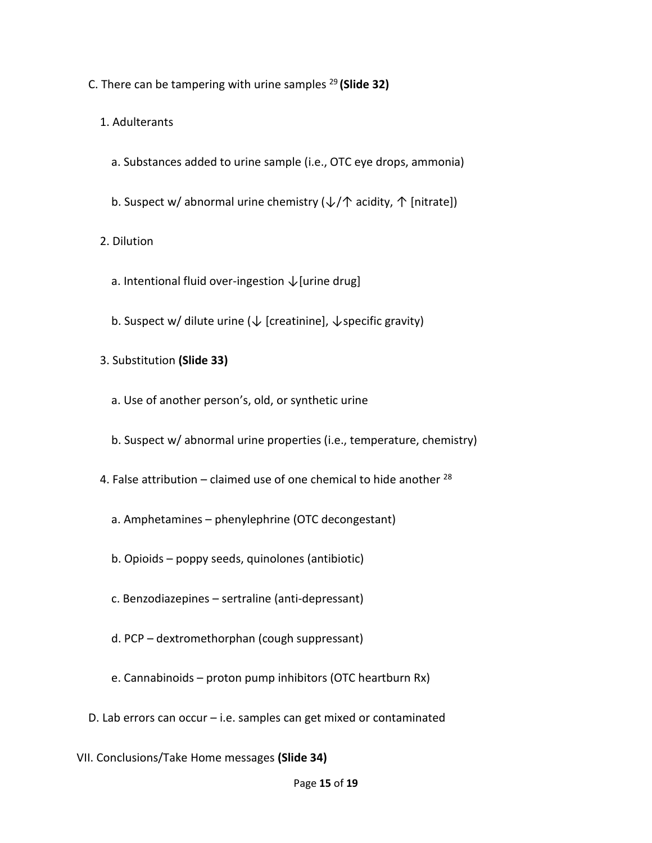C. There can be tampering with urine samples <sup>29</sup>**(Slide 32)**

1. Adulterants

- a. Substances added to urine sample (i.e., OTC eye drops, ammonia)
- b. Suspect w/ abnormal urine chemistry  $(\downarrow/\uparrow)$  acidity,  $\uparrow$  [nitrate])

2. Dilution

- a. Intentional fluid over-ingestion  $\sqrt$  [urine drug]
- b. Suspect w/ dilute urine ( $\downarrow$  [creatinine],  $\downarrow$  specific gravity)
- 3. Substitution **(Slide 33)**
	- a. Use of another person's, old, or synthetic urine
	- b. Suspect w/ abnormal urine properties (i.e., temperature, chemistry)
- 4. False attribution  $-$  claimed use of one chemical to hide another  $^{28}$ 
	- a. Amphetamines phenylephrine (OTC decongestant)
	- b. Opioids poppy seeds, quinolones (antibiotic)
	- c. Benzodiazepines sertraline (anti-depressant)
	- d. PCP dextromethorphan (cough suppressant)
	- e. Cannabinoids proton pump inhibitors (OTC heartburn Rx)
- D. Lab errors can occur i.e. samples can get mixed or contaminated
- VII. Conclusions/Take Home messages **(Slide 34)**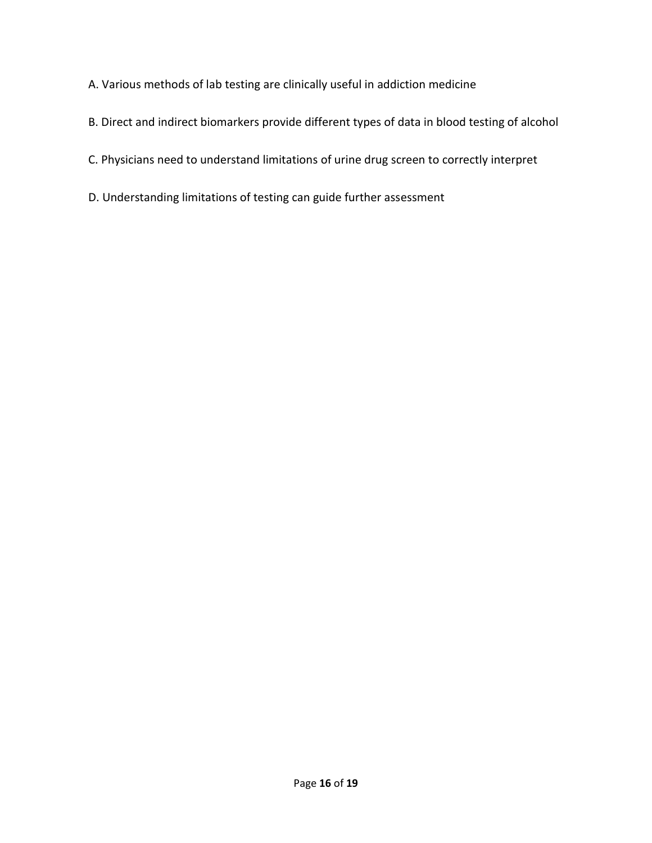- A. Various methods of lab testing are clinically useful in addiction medicine
- B. Direct and indirect biomarkers provide different types of data in blood testing of alcohol
- C. Physicians need to understand limitations of urine drug screen to correctly interpret
- D. Understanding limitations of testing can guide further assessment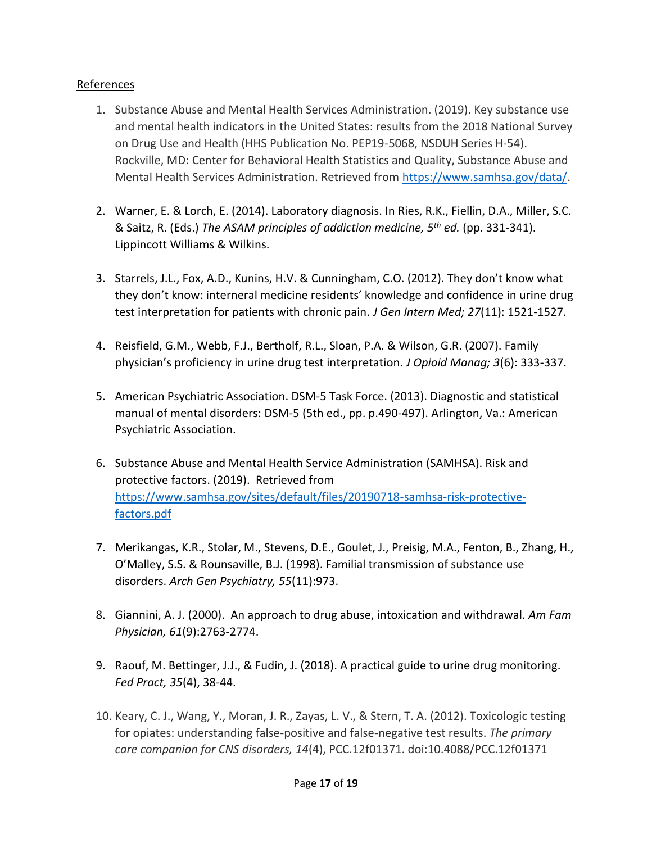# References

- 1. Substance Abuse and Mental Health Services Administration. (2019). Key substance use and mental health indicators in the United States: results from the 2018 National Survey on Drug Use and Health (HHS Publication No. PEP19-5068, NSDUH Series H-54). Rockville, MD: Center for Behavioral Health Statistics and Quality, Substance Abuse and Mental Health Services Administration. Retrieved from [https://www.samhsa.gov/data/.](about:blank)
- 2. Warner, E. & Lorch, E. (2014). Laboratory diagnosis. In Ries, R.K., Fiellin, D.A., Miller, S.C. & Saitz, R. (Eds.) *The ASAM principles of addiction medicine, 5th ed.* (pp. 331-341). Lippincott Williams & Wilkins.
- 3. Starrels, J.L., Fox, A.D., Kunins, H.V. & Cunningham, C.O. (2012). They don't know what they don't know: interneral medicine residents' knowledge and confidence in urine drug test interpretation for patients with chronic pain. *J Gen Intern Med; 27*(11): 1521-1527.
- 4. Reisfield, G.M., Webb, F.J., Bertholf, R.L., Sloan, P.A. & Wilson, G.R. (2007). Family physician's proficiency in urine drug test interpretation. *J Opioid Manag; 3*(6): 333-337.
- 5. American Psychiatric Association. DSM-5 Task Force. (2013). Diagnostic and statistical manual of mental disorders: DSM-5 (5th ed., pp. p.490-497). Arlington, Va.: American Psychiatric Association.
- 6. Substance Abuse and Mental Health Service Administration (SAMHSA). Risk and protective factors. (2019). Retrieved from [https://www.samhsa.gov/sites/default/files/20190718-samhsa-risk-protective](about:blank)[factors.pdf](about:blank)
- 7. Merikangas, K.R., Stolar, M., Stevens, D.E., Goulet, J., Preisig, M.A., Fenton, B., Zhang, H., O'Malley, S.S. & Rounsaville, B.J. (1998). Familial transmission of substance use disorders. *Arch Gen Psychiatry, 55*(11):973.
- 8. Giannini, A. J. (2000). An approach to drug abuse, intoxication and withdrawal. *Am Fam Physician, 61*(9):2763-2774.
- 9. Raouf, M. Bettinger, J.J., & Fudin, J. (2018). A practical guide to urine drug monitoring. *Fed Pract, 35*(4), 38-44.
- 10. Keary, C. J., Wang, Y., Moran, J. R., Zayas, L. V., & Stern, T. A. (2012). Toxicologic testing for opiates: understanding false-positive and false-negative test results. *The primary care companion for CNS disorders, 14*(4), PCC.12f01371. doi:10.4088/PCC.12f01371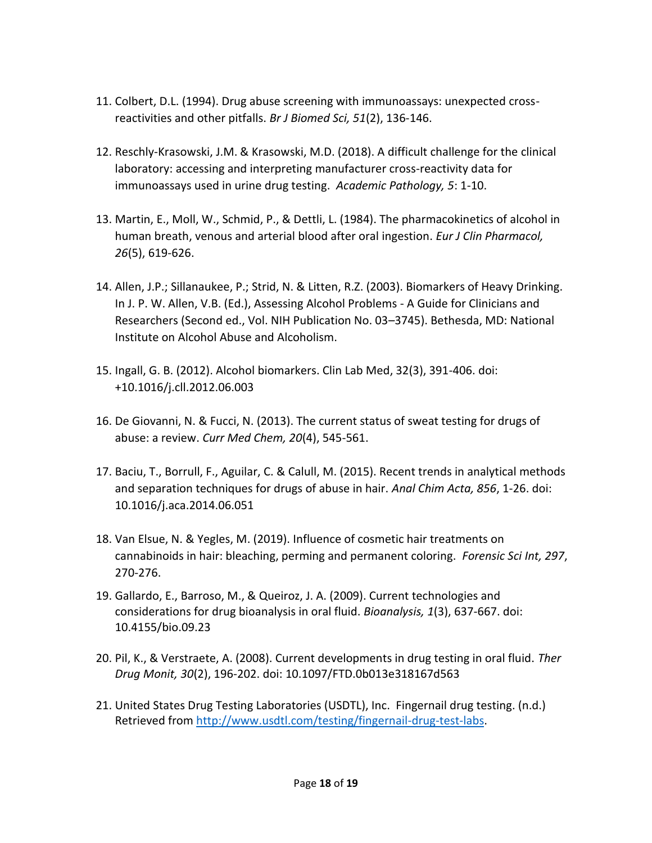- 11. Colbert, D.L. (1994). Drug abuse screening with immunoassays: unexpected crossreactivities and other pitfalls. *Br J Biomed Sci, 51*(2), 136-146.
- 12. Reschly-Krasowski, J.M. & Krasowski, M.D. (2018). A difficult challenge for the clinical laboratory: accessing and interpreting manufacturer cross-reactivity data for immunoassays used in urine drug testing. *Academic Pathology, 5*: 1-10.
- 13. Martin, E., Moll, W., Schmid, P., & Dettli, L. (1984). The pharmacokinetics of alcohol in human breath, venous and arterial blood after oral ingestion. *Eur J Clin Pharmacol, 26*(5), 619-626.
- 14. Allen, J.P.; Sillanaukee, P.; Strid, N. & Litten, R.Z. (2003). Biomarkers of Heavy Drinking. In J. P. W. Allen, V.B. (Ed.), Assessing Alcohol Problems - A Guide for Clinicians and Researchers (Second ed., Vol. NIH Publication No. 03–3745). Bethesda, MD: National Institute on Alcohol Abuse and Alcoholism.
- 15. Ingall, G. B. (2012). Alcohol biomarkers. Clin Lab Med, 32(3), 391-406. doi: +10.1016/j.cll.2012.06.003
- 16. De Giovanni, N. & Fucci, N. (2013). The current status of sweat testing for drugs of abuse: a review. *Curr Med Chem, 20*(4), 545-561.
- 17. Baciu, T., Borrull, F., Aguilar, C. & Calull, M. (2015). Recent trends in analytical methods and separation techniques for drugs of abuse in hair. *Anal Chim Acta, 856*, 1-26. doi: 10.1016/j.aca.2014.06.051
- 18. Van Elsue, N. & Yegles, M. (2019). Influence of cosmetic hair treatments on cannabinoids in hair: bleaching, perming and permanent coloring. *Forensic Sci Int, 297*, 270-276.
- 19. Gallardo, E., Barroso, M., & Queiroz, J. A. (2009). Current technologies and considerations for drug bioanalysis in oral fluid. *Bioanalysis, 1*(3), 637-667. doi: 10.4155/bio.09.23
- 20. Pil, K., & Verstraete, A. (2008). Current developments in drug testing in oral fluid. *Ther Drug Monit, 30*(2), 196-202. doi: 10.1097/FTD.0b013e318167d563
- 21. United States Drug Testing Laboratories (USDTL), Inc. Fingernail drug testing. (n.d.) Retrieved from [http://www.usdtl.com/testing/fingernail-drug-test-labs.](about:blank)